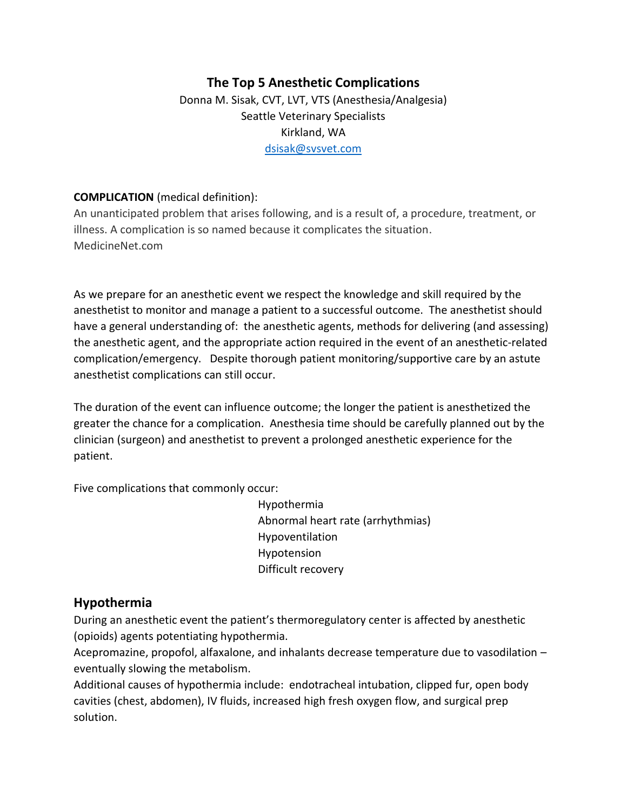# **The Top 5 Anesthetic Complications** Donna M. Sisak, CVT, LVT, VTS (Anesthesia/Analgesia) Seattle Veterinary Specialists Kirkland, WA [dsisak@svsvet.com](mailto:dsisak@svsvet.com)

#### **COMPLICATION** (medical definition):

An unanticipated problem that arises following, and is a result of, a procedure, treatment, or illness. A complication is so named because it complicates the situation. MedicineNet.com

As we prepare for an anesthetic event we respect the knowledge and skill required by the anesthetist to monitor and manage a patient to a successful outcome. The anesthetist should have a general understanding of: the anesthetic agents, methods for delivering (and assessing) the anesthetic agent, and the appropriate action required in the event of an anesthetic-related complication/emergency. Despite thorough patient monitoring/supportive care by an astute anesthetist complications can still occur.

The duration of the event can influence outcome; the longer the patient is anesthetized the greater the chance for a complication. Anesthesia time should be carefully planned out by the clinician (surgeon) and anesthetist to prevent a prolonged anesthetic experience for the patient.

Five complications that commonly occur:

Hypothermia Abnormal heart rate (arrhythmias) Hypoventilation Hypotension Difficult recovery

# **Hypothermia**

During an anesthetic event the patient's thermoregulatory center is affected by anesthetic (opioids) agents potentiating hypothermia.

Acepromazine, propofol, alfaxalone, and inhalants decrease temperature due to vasodilation – eventually slowing the metabolism.

Additional causes of hypothermia include: endotracheal intubation, clipped fur, open body cavities (chest, abdomen), IV fluids, increased high fresh oxygen flow, and surgical prep solution.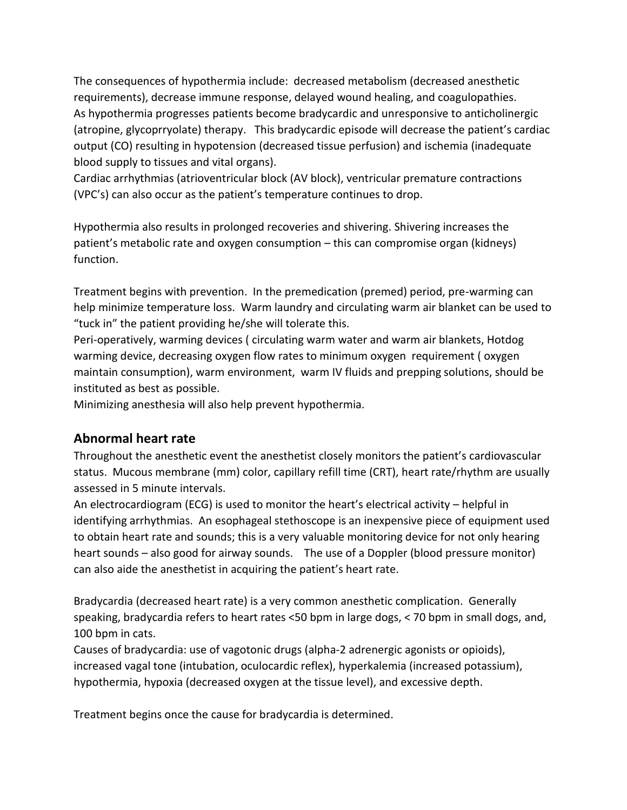The consequences of hypothermia include: decreased metabolism (decreased anesthetic requirements), decrease immune response, delayed wound healing, and coagulopathies. As hypothermia progresses patients become bradycardic and unresponsive to anticholinergic (atropine, glycoprryolate) therapy. This bradycardic episode will decrease the patient's cardiac output (CO) resulting in hypotension (decreased tissue perfusion) and ischemia (inadequate blood supply to tissues and vital organs).

Cardiac arrhythmias (atrioventricular block (AV block), ventricular premature contractions (VPC's) can also occur as the patient's temperature continues to drop.

Hypothermia also results in prolonged recoveries and shivering. Shivering increases the patient's metabolic rate and oxygen consumption – this can compromise organ (kidneys) function.

Treatment begins with prevention. In the premedication (premed) period, pre-warming can help minimize temperature loss. Warm laundry and circulating warm air blanket can be used to "tuck in" the patient providing he/she will tolerate this.

Peri-operatively, warming devices ( circulating warm water and warm air blankets, Hotdog warming device, decreasing oxygen flow rates to minimum oxygen requirement ( oxygen maintain consumption), warm environment, warm IV fluids and prepping solutions, should be instituted as best as possible.

Minimizing anesthesia will also help prevent hypothermia.

# **Abnormal heart rate**

Throughout the anesthetic event the anesthetist closely monitors the patient's cardiovascular status. Mucous membrane (mm) color, capillary refill time (CRT), heart rate/rhythm are usually assessed in 5 minute intervals.

An electrocardiogram (ECG) is used to monitor the heart's electrical activity – helpful in identifying arrhythmias. An esophageal stethoscope is an inexpensive piece of equipment used to obtain heart rate and sounds; this is a very valuable monitoring device for not only hearing heart sounds – also good for airway sounds. The use of a Doppler (blood pressure monitor) can also aide the anesthetist in acquiring the patient's heart rate.

Bradycardia (decreased heart rate) is a very common anesthetic complication. Generally speaking, bradycardia refers to heart rates <50 bpm in large dogs, < 70 bpm in small dogs, and, 100 bpm in cats.

Causes of bradycardia: use of vagotonic drugs (alpha-2 adrenergic agonists or opioids), increased vagal tone (intubation, oculocardic reflex), hyperkalemia (increased potassium), hypothermia, hypoxia (decreased oxygen at the tissue level), and excessive depth.

Treatment begins once the cause for bradycardia is determined.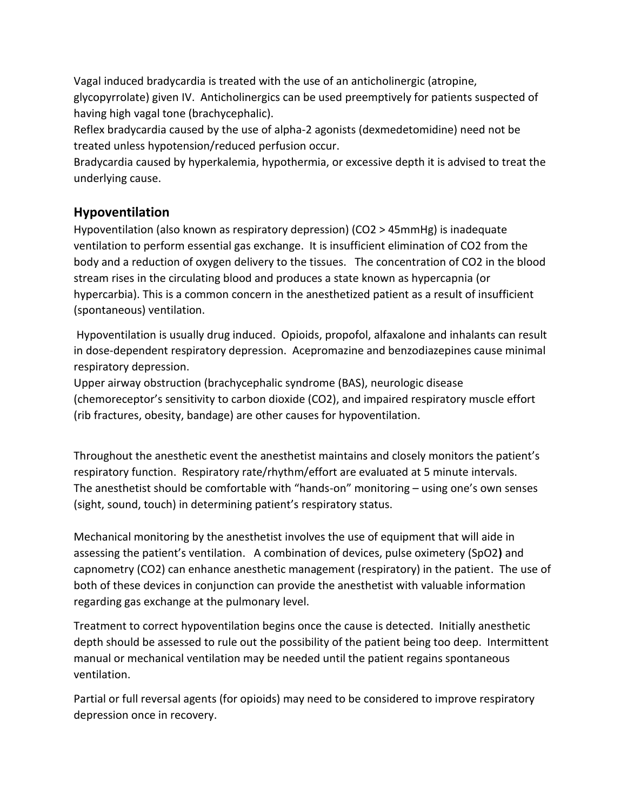Vagal induced bradycardia is treated with the use of an anticholinergic (atropine, glycopyrrolate) given IV. Anticholinergics can be used preemptively for patients suspected of having high vagal tone (brachycephalic).

Reflex bradycardia caused by the use of alpha-2 agonists (dexmedetomidine) need not be treated unless hypotension/reduced perfusion occur.

Bradycardia caused by hyperkalemia, hypothermia, or excessive depth it is advised to treat the underlying cause.

# **Hypoventilation**

Hypoventilation (also known as respiratory depression) (CO2 > 45mmHg) is inadequate ventilation to perform essential gas exchange. It is insufficient elimination of CO2 from the body and a reduction of oxygen delivery to the tissues. The concentration of CO2 in the blood stream rises in the circulating blood and produces a state known as hypercapnia (or hypercarbia). This is a common concern in the anesthetized patient as a result of insufficient (spontaneous) ventilation.

Hypoventilation is usually drug induced. Opioids, propofol, alfaxalone and inhalants can result in dose-dependent respiratory depression. Acepromazine and benzodiazepines cause minimal respiratory depression.

Upper airway obstruction (brachycephalic syndrome (BAS), neurologic disease (chemoreceptor's sensitivity to carbon dioxide (CO2), and impaired respiratory muscle effort (rib fractures, obesity, bandage) are other causes for hypoventilation.

Throughout the anesthetic event the anesthetist maintains and closely monitors the patient's respiratory function. Respiratory rate/rhythm/effort are evaluated at 5 minute intervals. The anesthetist should be comfortable with "hands-on" monitoring – using one's own senses (sight, sound, touch) in determining patient's respiratory status.

Mechanical monitoring by the anesthetist involves the use of equipment that will aide in assessing the patient's ventilation. A combination of devices, pulse oximetery (SpO2**)** and capnometry (CO2) can enhance anesthetic management (respiratory) in the patient. The use of both of these devices in conjunction can provide the anesthetist with valuable information regarding gas exchange at the pulmonary level.

Treatment to correct hypoventilation begins once the cause is detected. Initially anesthetic depth should be assessed to rule out the possibility of the patient being too deep. Intermittent manual or mechanical ventilation may be needed until the patient regains spontaneous ventilation.

Partial or full reversal agents (for opioids) may need to be considered to improve respiratory depression once in recovery.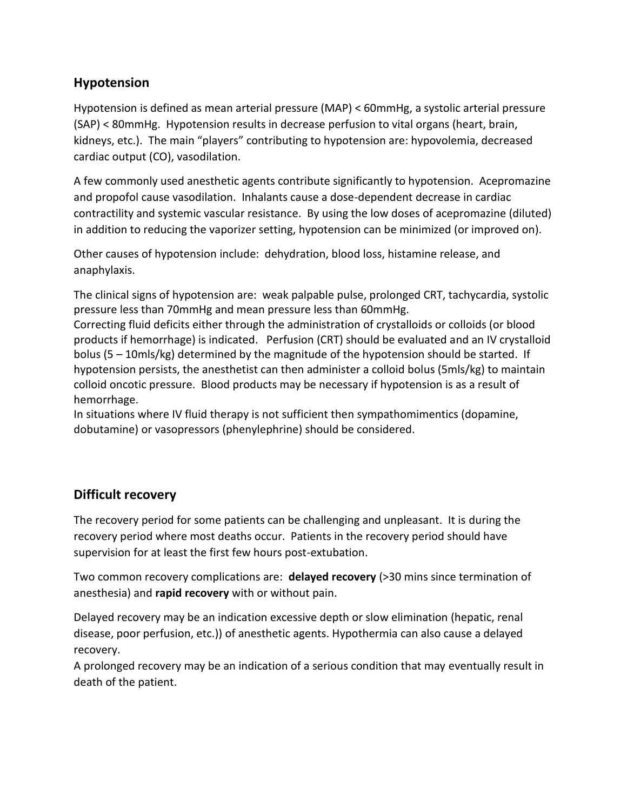# **Hypotension**

Hypotension is defined as mean arterial pressure (MAP) < 60mmHg, a systolic arterial pressure (SAP) < 80mmHg. Hypotension results in decrease perfusion to vital organs (heart, brain, kidneys, etc.). The main "players" contributing to hypotension are: hypovolemia, decreased cardiac output (CO), vasodilation.

A few commonly used anesthetic agents contribute significantly to hypotension. Acepromazine and propofol cause vasodilation. Inhalants cause a dose-dependent decrease in cardiac contractility and systemic vascular resistance. By using the low doses of acepromazine (diluted) in addition to reducing the vaporizer setting, hypotension can be minimized (or improved on).

Other causes of hypotension include: dehydration, blood loss, histamine release, and anaphylaxis.

The clinical signs of hypotension are: weak palpable pulse, prolonged CRT, tachycardia, systolic pressure less than 70mmHg and mean pressure less than 60mmHg.

Correcting fluid deficits either through the administration of crystalloids or colloids (or blood products if hemorrhage) is indicated. Perfusion (CRT) should be evaluated and an IV crystalloid bolus (5 – 10mls/kg) determined by the magnitude of the hypotension should be started. If hypotension persists, the anesthetist can then administer a colloid bolus (5mls/kg) to maintain colloid oncotic pressure. Blood products may be necessary if hypotension is as a result of hemorrhage.

In situations where IV fluid therapy is not sufficient then sympathomimentics (dopamine, dobutamine) or vasopressors (phenylephrine) should be considered.

# **Difficult recovery**

The recovery period for some patients can be challenging and unpleasant. It is during the recovery period where most deaths occur. Patients in the recovery period should have supervision for at least the first few hours post-extubation.

Two common recovery complications are: **delayed recovery** (>30 mins since termination of anesthesia) and **rapid recovery** with or without pain.

Delayed recovery may be an indication excessive depth or slow elimination (hepatic, renal disease, poor perfusion, etc.)) of anesthetic agents. Hypothermia can also cause a delayed recovery.

A prolonged recovery may be an indication of a serious condition that may eventually result in death of the patient.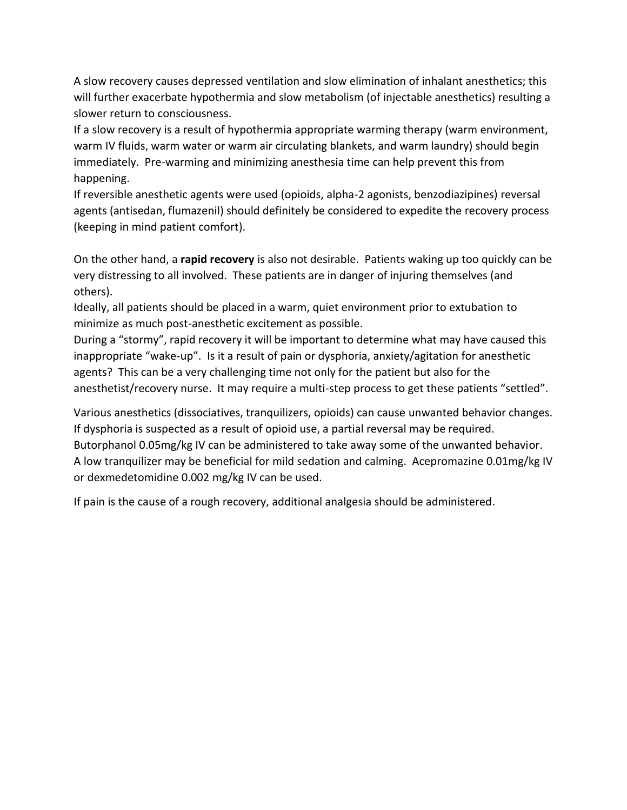A slow recovery causes depressed ventilation and slow elimination of inhalant anesthetics; this will further exacerbate hypothermia and slow metabolism (of injectable anesthetics) resulting a slower return to consciousness.

If a slow recovery is a result of hypothermia appropriate warming therapy (warm environment, warm IV fluids, warm water or warm air circulating blankets, and warm laundry) should begin immediately. Pre-warming and minimizing anesthesia time can help prevent this from happening.

If reversible anesthetic agents were used (opioids, alpha-2 agonists, benzodiazipines) reversal agents (antisedan, flumazenil) should definitely be considered to expedite the recovery process (keeping in mind patient comfort).

On the other hand, a **rapid recovery** is also not desirable. Patients waking up too quickly can be very distressing to all involved. These patients are in danger of injuring themselves (and others).

Ideally, all patients should be placed in a warm, quiet environment prior to extubation to minimize as much post-anesthetic excitement as possible.

During a "stormy", rapid recovery it will be important to determine what may have caused this inappropriate "wake-up". Is it a result of pain or dysphoria, anxiety/agitation for anesthetic agents? This can be a very challenging time not only for the patient but also for the anesthetist/recovery nurse. It may require a multi-step process to get these patients "settled".

Various anesthetics (dissociatives, tranquilizers, opioids) can cause unwanted behavior changes. If dysphoria is suspected as a result of opioid use, a partial reversal may be required. Butorphanol 0.05mg/kg IV can be administered to take away some of the unwanted behavior. A low tranquilizer may be beneficial for mild sedation and calming. Acepromazine 0.01mg/kg IV or dexmedetomidine 0.002 mg/kg IV can be used.

If pain is the cause of a rough recovery, additional analgesia should be administered.